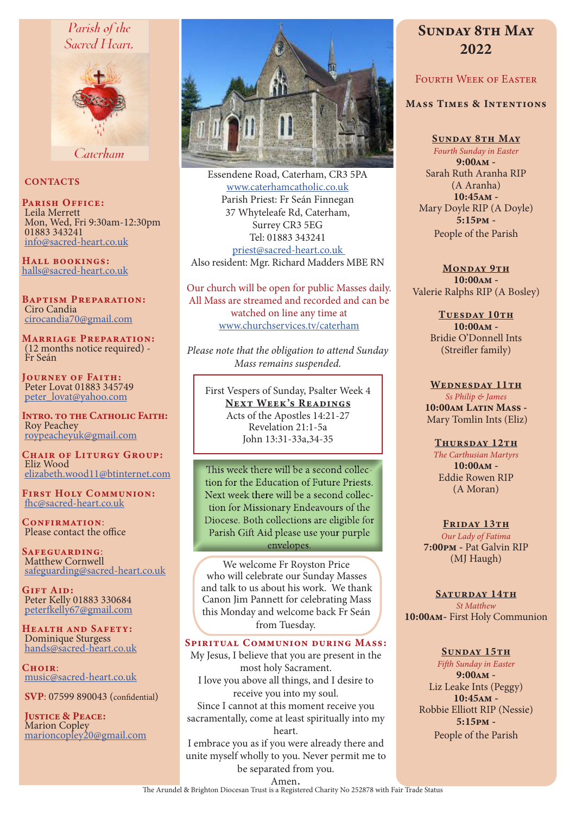# Parish of the Sacred Heart.



Caterham

# **CONTACTS**

PARISH OFFICE: Leila Merrett Mon, Wed, Fri 9:30am-12:30pm 01883 343241 info@sacred-heart.co.uk

Hall bookings: halls@sacred-heart.co.uk

Baptism Preparation: Ciro Candia cirocandia70@gmail.com

Marriage Preparation: (12 months notice required) - Fr Seán

Journey of Faith: Peter Lovat 01883 345749 peter\_lovat@yahoo.com

Intro. to the Catholic Faith: Roy Peachey roypeacheyuk@gmail.com

CHAIR OF LITURGY GROUP: Eliz Wood elizabeth.wood11@btinternet.com

First Holy Communion: fhc@sacred-heart.co.uk

CONFIRMATION: Please contact the office

Safeguarding: Matthew Cornwell safeguarding@sacred-heart.co.uk

GIFT AID: Peter Kelly 01883 330684 peterfkelly67@gmail.com

HEALTH AND SAFETY: Dominique Sturgess hands@sacred-heart.co.uk

CHOIR: music@sacred-heart.co.uk

SVP: 07599 890043 (confidential)

Justice & Peace: Marion Copley marioncopley20@gmail.com



Essendene Road, Caterham, CR3 5PA www.caterhamcatholic.co.uk Parish Priest: Fr Seán Finnegan 37 Whyteleafe Rd, Caterham, Surrey CR3 5EG Tel: 01883 343241 priest@sacred-heart.co.uk Also resident: Mgr. Richard Madders MBE RN

Our church will be open for public Masses daily. All Mass are streamed and recorded and can be watched on line any time at www.churchservices.tv/caterham

*Please note that the obligation to attend Sunday Mass remains suspended.*

First Vespers of Sunday, Psalter Week 4 NEXT WEEK'S READINGS Acts of the Apostles 14:21-27 Revelation 21:1-5a John 13:31-33a,34-35

This week there will be a second collection for the Education of Future Priests. Next week there will be a second collection for Missionary Endeavours of the Diocese. Both collections are eligible for Parish Gift Aid please use your purple envelopes.

We welcome Fr Royston Price who will celebrate our Sunday Masses and talk to us about his work. We thank Canon Jim Pannett for celebrating Mass this Monday and welcome back Fr Seán from Tuesday.

# Spiritual Communion during Mass:

My Jesus, I believe that you are present in the most holy Sacrament. I love you above all things, and I desire to receive you into my soul. Since I cannot at this moment receive you sacramentally, come at least spiritually into my heart.

I embrace you as if you were already there and unite myself wholly to you. Never permit me to be separated from you.

# SUNDAY 8TH MAY 2022

# FOURTH WEEK OF EASTER

## Mass Times & Intentions

Sunday 8th May *Fourth Sunday in Easter* 9:00am - Sarah Ruth Aranha RIP (A Aranha) 10:45am - Mary Doyle RIP (A Doyle) 5:15pm - People of the Parish

MONDAY 9TH 10:00am - Valerie Ralphs RIP (A Bosley)

> TUESDAY 10TH 10:00am - Bridie O'Donnell Ints (Streifler family)

WEDNESDAY 11TH *Ss Philip & James* 10:00am Latin Mass -Mary Tomlin Ints (Eliz)

#### THURSDAY 12TH

*The Carthusian Martyrs* 10:00am - Eddie Rowen RIP (A Moran)

#### FRIDAY 13TH

*Our Lady of Fatima* 7:00pm - Pat Galvin RIP (MJ Haugh)

SATURDAY 14TH *St Matthew* 10:00am- First Holy Communion

#### SUNDAY 15TH

*Fifth Sunday in Easter* 9:00am - Liz Leake Ints (Peggy) 10:45am - Robbie Elliott RIP (Nessie) 5:15pm - People of the Parish